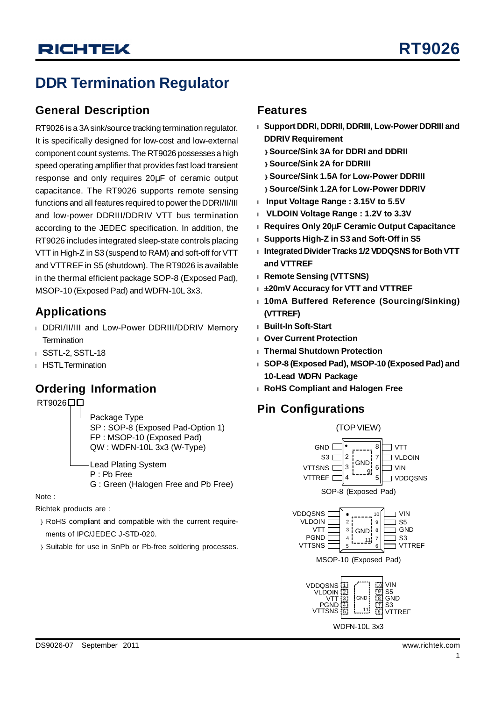# **DDR Termination Regulator**

### **General Description**

RT9026 is a 3Asink/source tracking termination regulator. It is specifically designed for low-cost and low-external component count systems. The RT9026 possesses a high speed operating amplifier that provides fast load transient response and only requires 20μF of ceramic output capacitance. The RT9026 supports remote sensing functions and all features required to power the DDRI/II/III and low-power DDRIII/DDRIV VTT bus termination according to the JEDEC specification. In addition, the RT9026 includes integrated sleep-state controls placing VTT in High-Z in S3 (suspend to RAM) and soft-off for VTT and VTTREF in S5 (shutdown). The RT9026 is available in the thermal efficient package SOP-8 (Exposed Pad), MSOP-10 (Exposed Pad) and WDFN-10L 3x3.

### **Applications**

- <sup>l</sup> DDRI/II/III and Low-Power DDRIII/DDRIV Memory **Termination**
- <sup>l</sup> SSTL-2, SSTL-18
- <sup>l</sup> HSTL Termination

## **Ordering Information**

RT9026<sup>[1]</sup>

Package Type SP : SOP-8 (Exposed Pad-Option 1) FP : MSOP-10 (Exposed Pad) QW : WDFN-10L 3x3 (W-Type) Lead Plating System

P : Pb Free

G : Green (Halogen Free and Pb Free)

Note :

Richtek products are :

- } RoHS compliant and compatible with the current requirements of IPC/JEDEC J-STD-020.
- } Suitable for use in SnPb or Pb-free soldering processes.

#### **Features**

- **<sup>l</sup> Support DDRI, DDRII, DDRIII, Low-Power DDRIII and DDRIV Requirement**
	- **} Source/Sink 3A for DDRI and DDRII**
	- **} Source/Sink 2A for DDRIII**
	- **} Source/Sink 1.5A for Low-Power DDRIII**
- **} Source/Sink 1.2A for Low-Power DDRIV**
- **<sup>l</sup> Input Voltage Range : 3.15V to 5.5V**
- **<sup>l</sup> VLDOIN Voltage Range : 1.2V to 3.3V**
- **<sup>l</sup> Requires Only 20mF Ceramic Output Capacitance**
- **<sup>l</sup> Supports High-Z in S3 and Soft-Off in S5**
- **<sup>l</sup> IntegratedDivider Tracks 1/2VDDQSNSfor Both VTT and VTTREF**
- **<sup>l</sup> Remote Sensing (VTTSNS)**
- **<sup>l</sup> ±20mV Accuracy for VTT and VTTREF**
- **<sup>l</sup> 10mA Buffered Reference (Sourcing/Sinking) (VTTREF)**
- **<sup>l</sup> Built-In Soft-Start**
- **<sup>l</sup> Over Current Protection**
- **<sup>l</sup> Thermal Shutdown Protection**
- **<sup>l</sup> SOP-8 (Exposed Pad), MSOP-10 (Exposed Pad) and 10-Lead WDFN Package**
- **<sup>l</sup> RoHS Compliant and Halogen Free**

## **Pin Configurations**

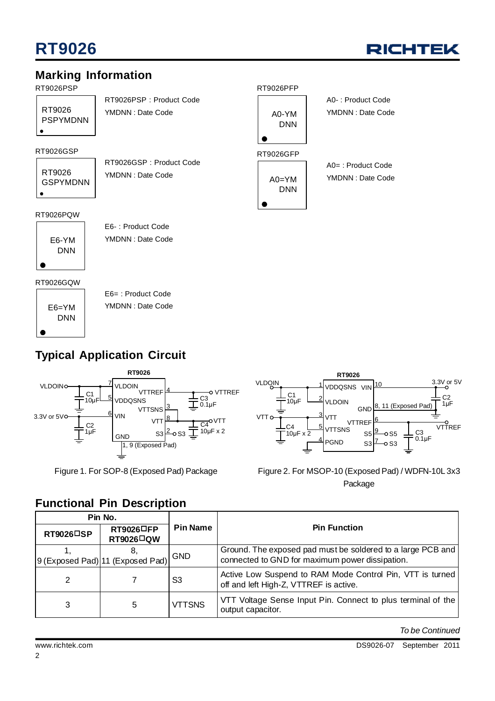

## **Marking Information**

#### RT9026PSP

RT9026 PSPYMDNN RT9026PSP : Product Code YMDNN : Date Code

#### RT9026GSP

RT9026 GSPYMDNN RT9026GSP : Product Code YMDNN : Date Code

#### RT9026PQW



E6- : Product Code YMDNN : Date Code

#### RT9026GQW

E6=YM DNN

E6= : Product Code YMDNN : Date Code

## **Typical Application Circuit**





A0- : Product Code YMDNN : Date Code

A0= : Product Code YMDNN : Date Code

RT9026PFP

A0-YM DNN

RT9026GFP

 $AO=YM$ DNN

Figure 1. For SOP-8 (Exposed Pad) Package Figure 2. For MSOP-10 (Exposed Pad) / WDFN-10L 3x3 Package

| Pin No.           |                                                                           |                 |                                                                                                                |
|-------------------|---------------------------------------------------------------------------|-----------------|----------------------------------------------------------------------------------------------------------------|
| <b>RT9026</b> □SP | $RT9026$ <sup><math>\Box</math></sup> FP<br><b>RT9026</b> <sup>□</sup> QW | <b>Pin Name</b> | <b>Pin Function</b>                                                                                            |
|                   | ୪.<br>9 (Exposed Pad) 11 (Exposed Pad)                                    | <b>GND</b>      | Ground. The exposed pad must be soldered to a large PCB and<br>connected to GND for maximum power dissipation. |
| 2                 |                                                                           | S <sub>3</sub>  | Active Low Suspend to RAM Mode Control Pin, VTT is turned<br>off and left High-Z, VTTREF is active.            |
| 3                 | 5                                                                         | VTTSNS          | VTT Voltage Sense Input Pin. Connect to plus terminal of the<br>output capacitor.                              |

*To be Continued*

# **Functional Pin Description**

#### 2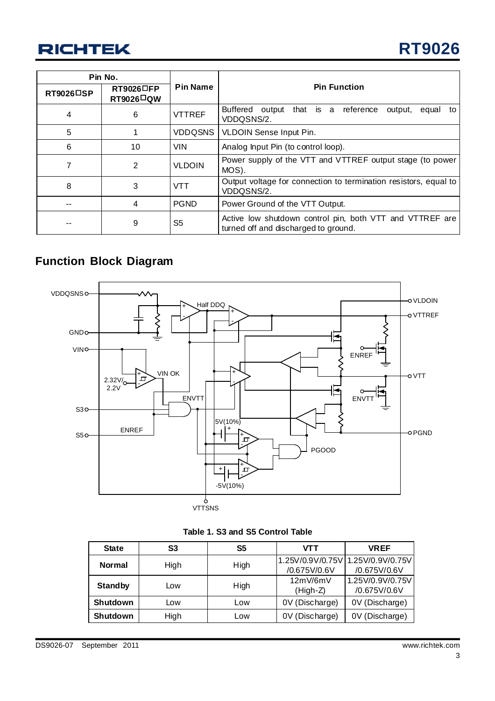| Pin No.   |                                                                      |                 |                                                                                                  |  |  |
|-----------|----------------------------------------------------------------------|-----------------|--------------------------------------------------------------------------------------------------|--|--|
| RT9026□SP | $RT9026$ <sup>D</sup> FP<br>$RT9026$ <sup><math>\Box</math></sup> QW | <b>Pin Name</b> | <b>Pin Function</b>                                                                              |  |  |
| 4         | 6                                                                    | <b>VTTREF</b>   | <b>Buffered</b><br>output that is a reference<br>output,<br>equal<br>to l<br>VDDQSNS/2.          |  |  |
| 5         |                                                                      | <b>VDDQSNS</b>  | VLDOIN Sense Input Pin.                                                                          |  |  |
| 6         | 10                                                                   | <b>VIN</b>      | Analog Input Pin (to control loop).                                                              |  |  |
|           | 2                                                                    | <b>VLDOIN</b>   | Power supply of the VTT and VTTREF output stage (to power<br>MOS).                               |  |  |
| 8         | 3                                                                    | VTT             | Output voltage for connection to termination resistors, equal to<br>VDDQSNS/2.                   |  |  |
|           | 4                                                                    | <b>PGND</b>     | Power Ground of the VTT Output.                                                                  |  |  |
|           | 9                                                                    | S <sub>5</sub>  | Active low shutdown control pin, both VTT and VTTREF are<br>turned off and discharged to ground. |  |  |

## **Function Block Diagram**



| Table 1. S3 and S5 Control Table |  |  |  |
|----------------------------------|--|--|--|
|----------------------------------|--|--|--|

| <b>State</b>    | S3         | S5   | VTT                    | <b>VREF</b>                                       |
|-----------------|------------|------|------------------------|---------------------------------------------------|
| <b>Normal</b>   | High       | High | /0.675V/0.6V           | 1.25V/0.9V/0.75V 1.25V/0.9V/0.75V<br>/0.675V/0.6V |
| <b>Standby</b>  | Low        | High | 12mV/6mV<br>$(High-Z)$ | 1.25V/0.9V/0.75V<br>/0.675V/0.6V                  |
| Shutdown        | <b>LOW</b> | Low  | 0V (Discharge)         | 0V (Discharge)                                    |
| <b>Shutdown</b> | High       | Low  | 0V (Discharge)         | 0V (Discharge)                                    |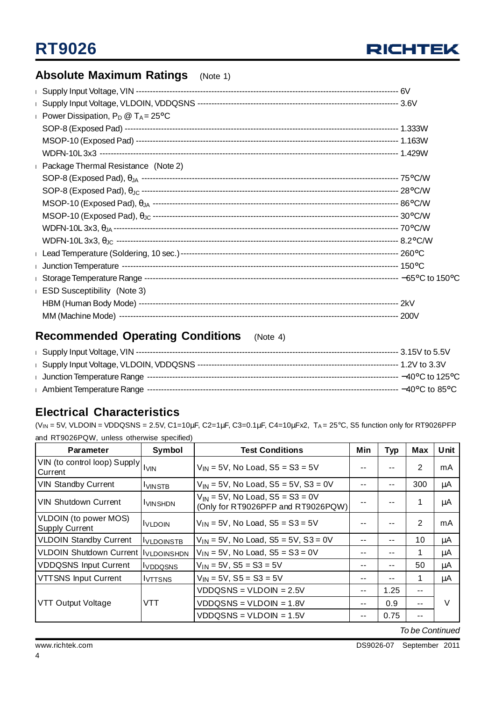

## **Absolute Maximum Ratings** (Note 1)

| Power Dissipation, $P_D @ T_A = 25^{\circ}C$ |  |
|----------------------------------------------|--|
|                                              |  |
|                                              |  |
|                                              |  |
| Deckage Thermal Resistance (Note 2)          |  |
|                                              |  |
|                                              |  |
|                                              |  |
|                                              |  |
|                                              |  |
|                                              |  |
|                                              |  |
|                                              |  |
|                                              |  |
| <b>ESD Susceptibility</b> (Note 3)           |  |
|                                              |  |
|                                              |  |

## **Recommended Operating Conditions** (Note 4)

### **Electrical Characteristics**

 $(V_{IN} = 5V$ , VLDOIN = VDDQSNS = 2.5V, C1=10µF, C2=1µF, C3=0.1µF, C4=10µFx2, T<sub>A</sub> = 25°C, S5 function only for RT9026PFP and RT9026PQW, unless otherwise specified)

| <b>Parameter</b>                                  | Symbol            | <b>Test Conditions</b>                                                     | Min   | Typ   | Max   | Unit |
|---------------------------------------------------|-------------------|----------------------------------------------------------------------------|-------|-------|-------|------|
| VIN (to control loop) Supply   IVIN<br>Current    |                   | $V_{IN} = 5V$ , No Load, S5 = S3 = 5V                                      |       | --    | 2     | mA   |
| <b>VIN Standby Current</b>                        | <b>IVINSTB</b>    | $V_{IN}$ = 5V, No Load, S5 = 5V, S3 = 0V                                   | --    | $- -$ | 300   | μA   |
| <b>VIN Shutdown Current</b>                       | <b>VINSHDN</b>    | $V_{IN}$ = 5V, No Load, S5 = S3 = 0V<br>(Only for RT9026PFP and RT9026PQW) |       |       | 1     | μA   |
| VLDOIN (to power MOS)<br>Supply Current           | <u>IVLDOIN</u>    | $V_{1N}$ = 5V, No Load, S5 = S3 = 5V                                       |       |       | 2     | mA   |
| <b>VLDOIN Standby Current</b>                     | <b>IVLDOINSTB</b> | $V_{IN} = 5V$ , No Load, S5 = 5V, S3 = 0V                                  | --    | $ -$  | 10    | μA   |
| VLDOIN Shutdown Current   I <sub>VLDOINSHDN</sub> |                   | $V_{1N} = 5V$ , No Load, S5 = S3 = 0V                                      | --    | $- -$ | 1     | μA   |
| <b>VDDQSNS Input Current</b>                      | <b>IVDDQSNS</b>   | $V_{1N} = 5V$ , S5 = S3 = 5V                                               | --    | $- -$ | 50    | μA   |
| <b>VTTSNS Input Current</b>                       | <b>IVTTSNS</b>    | $V_{IN} = 5V$ , $S5 = S3 = 5V$                                             | --    | $- -$ | 1     | μA   |
|                                                   |                   | $VDDQSNS = VLDOIN = 2.5V$                                                  | --    | 1.25  | --    |      |
| VTT Output Voltage                                | VTT               | $VDDQSNS = VLDOIN = 1.8V$                                                  | $- -$ | 0.9   | --    | V    |
|                                                   |                   | VDDQSNS = VLDOIN = 1.5V                                                    | --    | 0.75  | $- -$ |      |

*To be Continued*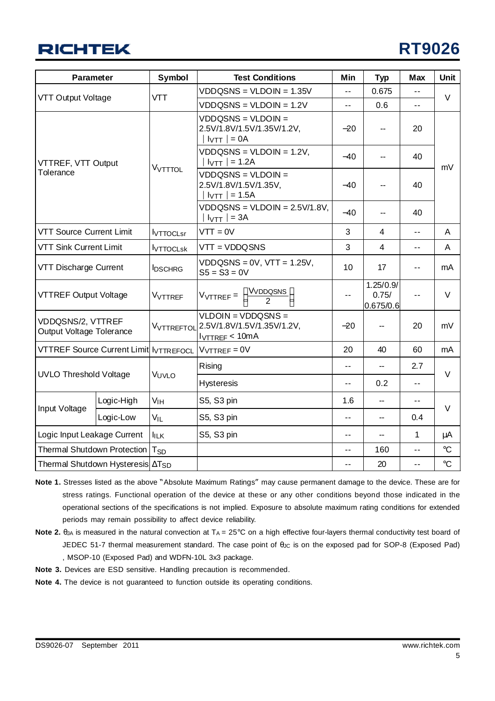

| <b>Parameter</b>                              |            | Symbol                | <b>Test Conditions</b>                                                          | Min                      | <b>Typ</b>                      | <b>Max</b>     | <b>Unit</b>     |
|-----------------------------------------------|------------|-----------------------|---------------------------------------------------------------------------------|--------------------------|---------------------------------|----------------|-----------------|
|                                               |            |                       | $VDDQSNS = VLDOIN = 1.35V$                                                      | $-1$                     | 0.675                           | $-1$           | $\vee$          |
| VTT Output Voltage                            |            | <b>VTT</b>            | $VDDQSNS = VLDOIN = 1.2V$                                                       | $\overline{a}$           | 0.6                             | $\overline{a}$ |                 |
| VTTREF, VTT Output<br>Tolerance               |            |                       | $VDDQSNS = VLDOIN =$<br>2.5V/1.8V/1.5V/1.35V/1.2V,<br>$I_{\text{VTT}}$ = 0A     |                          | --                              | 20             |                 |
|                                               |            | VVTTTOL               | $VDDQSNS = VLDOIN = 1.2V,$<br>$I_{\text{VTT}}$ = 1.2A                           | $-40$                    | --                              | 40             |                 |
|                                               |            |                       | $VDDQSNS = VLDOIN =$<br>2.5V/1.8V/1.5V/1.35V,<br>$I_{\text{VTT}}$ = 1.5A        | $-40$                    |                                 | mV<br>40<br>40 |                 |
|                                               |            |                       | $VDDQSNS = VLDOIN = 2.5V/1.8V,$<br>$I_{\text{VTT}}$ = 3A                        | $-40$                    | --                              |                |                 |
| <b>VTT Source Current Limit</b>               |            | <b>I</b> VTTOCLsr     | $VTT = 0V$                                                                      | 3                        | 4                               | $\overline{a}$ | A               |
| <b>VTT Sink Current Limit</b>                 |            | <b>I</b> VTTOCLsk     | $VTT = VDDQSNS$                                                                 | 3                        | $\overline{4}$                  | $\overline{a}$ | A               |
| VTT Discharge Current                         |            | <b>IDSCHRG</b>        | $VDDQSNS = 0V$ , $VTT = 1.25V$ ,<br>$S5 = S3 = 0V$                              | 10                       | 17                              | $\overline{a}$ | mA              |
| <b>VTTREF Output Voltage</b>                  |            | VVTTREF               | $\frac{VVDDQSNS}{2}$<br>$V_{\text{VTTREF}} =$                                   | ۰.                       | 1.25/0.9/<br>0.75/<br>0.675/0.6 | $\sim$ $\sim$  | $\vee$          |
| VDDQSNS/2, VTTREF<br>Output Voltage Tolerance |            | VVTTREFTOL            | $VLDOIN = VDDQSNS =$<br>2.5V/1.8V/1.5V/1.35V/1.2V,<br>I <sub>VTREE</sub> < 10mA | $-20$                    |                                 | 20             | mV              |
| <b>VTTREF Source Current Limit IVTTREFOCL</b> |            |                       | $V \vee T T R E F = 0 V$                                                        | 20                       | 40                              | 60             | mA              |
|                                               |            |                       | Rising                                                                          | $\overline{\phantom{a}}$ | --                              | 2.7            |                 |
| <b>UVLO Threshold Voltage</b>                 |            | VUVLO                 | <b>Hysteresis</b>                                                               | $-1$                     | 0.2                             | $\overline{a}$ | $\vee$          |
|                                               | Logic-High | VIH                   | S5, S3 pin                                                                      | 1.6                      |                                 | $\overline{a}$ |                 |
| Input Voltage                                 | Logic-Low  | $V_{IL}$              | S5, S3 pin                                                                      | 44                       | --                              | 0.4            | V               |
| Logic Input Leakage Current                   |            | <b>IILK</b>           | S5, S3 pin                                                                      | 44                       | --                              | 1              | μA              |
| <b>Thermal Shutdown Protection</b>            |            | <b>T<sub>SD</sub></b> |                                                                                 | ۰.                       | 160                             | $-1$           | $\rm ^{\circ}C$ |
| Thermal Shutdown Hysteresis $\Delta T_{SD}$   |            |                       |                                                                                 | $-$                      | 20                              | $\overline{a}$ | $\rm ^{\circ}C$ |

- **Note 1.** Stresses listed as the above "Absolute Maximum Ratings" may cause permanent damage to the device. These are for stress ratings. Functional operation of the device at these or any other conditions beyond those indicated in the operational sections of the specifications is not implied. Exposure to absolute maximum rating conditions for extended periods may remain possibility to affect device reliability.
- **Note 2.** θ<sub>JA</sub> is measured in the natural convection at T<sub>A</sub> = 25°C on a high effective four-layers thermal conductivity test board of JEDEC 51-7 thermal measurement standard. The case point of  $\theta_{\text{JC}}$  is on the exposed pad for SOP-8 (Exposed Pad) , MSOP-10 (Exposed Pad) and WDFN-10L 3x3 package.
- **Note 3.** Devices are ESD sensitive. Handling precaution is recommended.
- **Note 4.** The device is not guaranteed to function outside its operating conditions.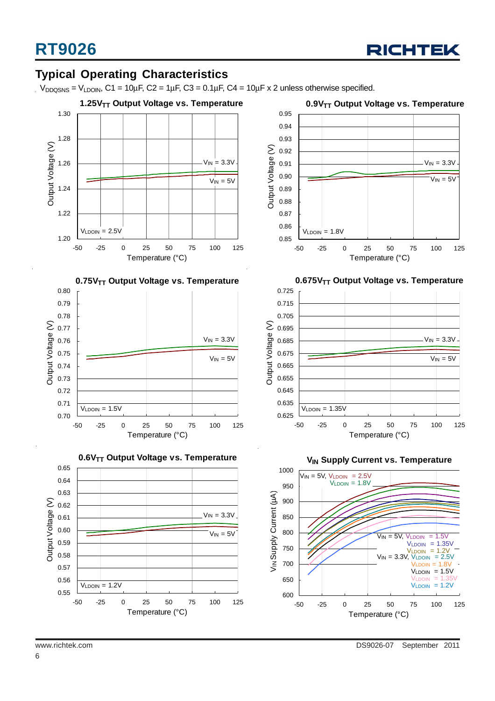

### **Typical Operating Characteristics**

 $V_{DDQSNS} = V_{LDOIN}$ , C1 = 10µF, C2 = 1µF, C3 = 0.1µF, C4 = 10µF x 2 unless otherwise specified.





-50 -25 0 25 50 75 100 125 Temperature (°C)



**0.9V<sub>TT</sub>** Output Voltage vs. Temperature



**0.675V<sub>TT</sub> Output Voltage vs. Temperature** 



**V<sub>IN</sub> Supply Current vs. Temperature** 

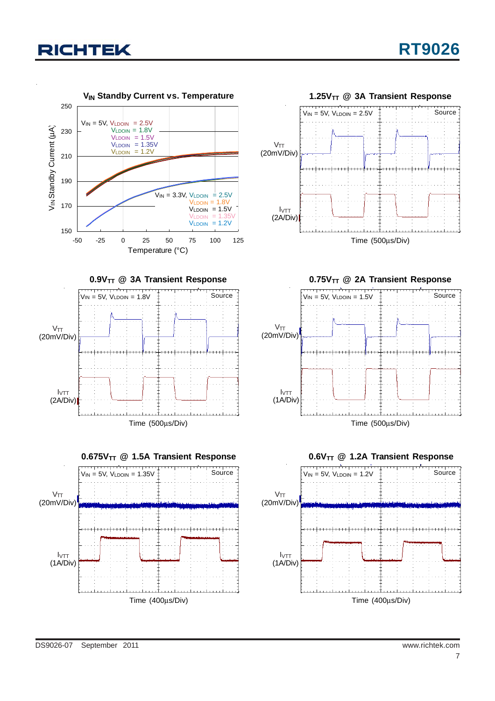

**0.9V<sub>TT</sub>** @ 3A Transient Response

Source



**0.75V<sub>TT</sub>** @ 2A Transient Response







 $V_{IN} = 5V$ ,  $V_{LDOIN} = 1.8V$ 

<del>. . . . . . . . . . . .</del>



DS9026-07 September 2011 www.richtek.com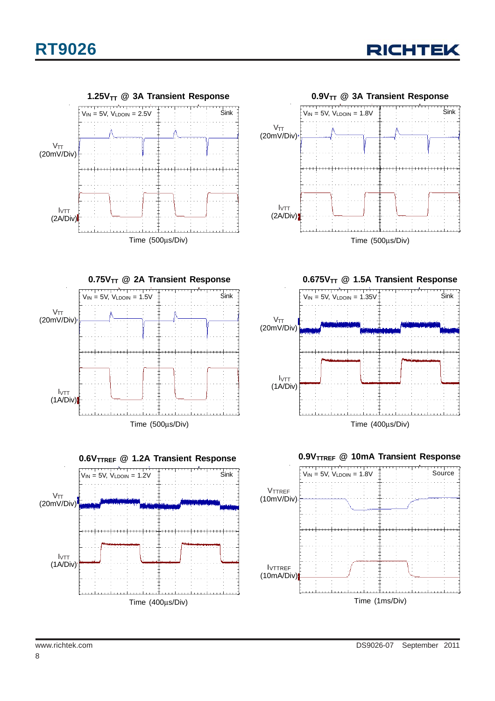



**0.75V<sub>TT</sub>** @ 2A Transient Response وتتنو برندو وتتنوف Sink  $V_{IN} = 5V$ ,  $V_{LDOIN} = 1.5V$ VTT (20mV/Div) IVTT (1A/Div) Time (500μs/Div)





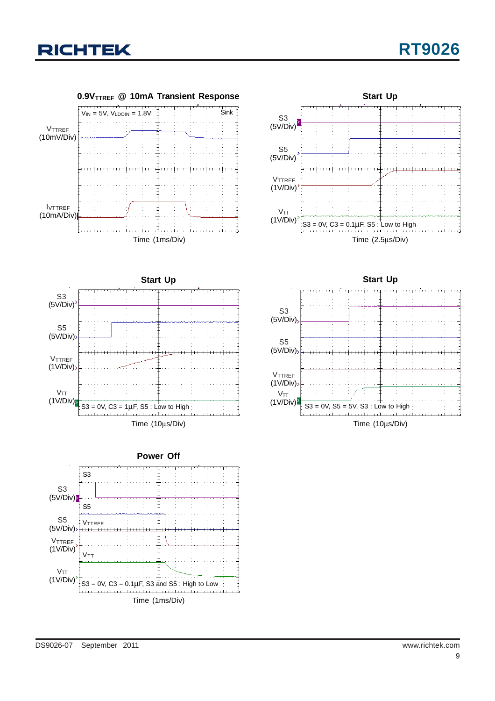







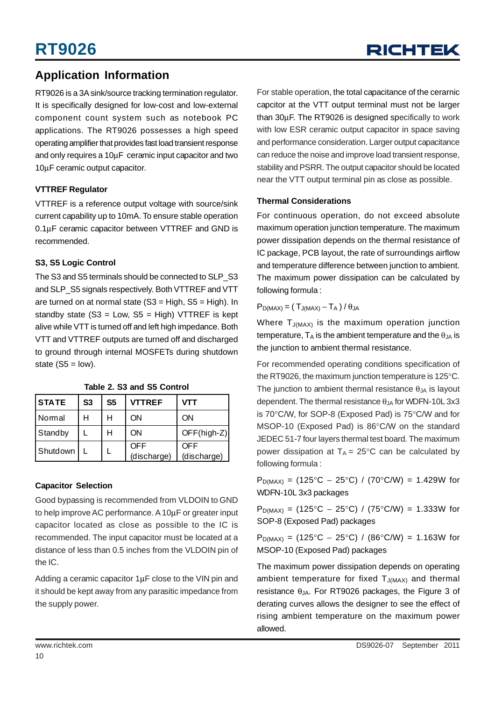### **Application Information**

RT9026 is a 3A sink/source tracking termination regulator. It is specifically designed for low-cost and low-external component count system such as notebook PC applications. The RT9026 possesses a high speed operating amplifier that provides fast load transient response and only requires a 10μF ceramic input capacitor and two 10μF ceramic output capacitor.

#### **VTTREF Regulator**

VTTREF is a reference output voltage with source/sink current capability up to 10mA. To ensure stable operation 0.1μF ceramic capacitor between VTTREF and GND is recommended.

#### **S3, S5 Logic Control**

The S3 and S5 terminals should be connected to SLP\_S3 and SLP\_S5 signals respectively. Both VTTREF and VTT are turned on at normal state  $(S3 = High, S5 = High)$ . In standby state  $(S3 = Low, S5 = High)$  VTTREF is kept alive while VTT is turned off and left high impedance. Both VTT and VTTREF outputs are turned off and discharged to ground through internal MOSFETs during shutdown state  $(S5 = low)$ .

| <b>STATE</b> | S <sub>3</sub> | S <sub>5</sub> | <b>VTTREF</b> | VTT           |
|--------------|----------------|----------------|---------------|---------------|
| Normal       | н              | н              | ON            | ΟN            |
| Standby      |                | н              | ON            | $OFF(high-Z)$ |
| Shutdown     |                |                | OFF           | OFF           |
|              |                |                | (discharge)   | (discharge)   |

**Table 2. S3 and S5 Control**

#### **Capacitor Selection**

Good bypassing is recommended from VLDOIN to GND to help improve AC performance. A 10μF or greater input capacitor located as close as possible to the IC is recommended. The input capacitor must be located at a distance of less than 0.5 inches from the VLDOIN pin of the IC.

Adding a ceramic capacitor 1μF close to the VIN pin and it should be kept away from any parasitic impedance from the supply power.

For stable operation, the total capacitance of the cerarnic capcitor at the VTT output terminal must not be larger than 30μF. The RT9026 is designed specifically to work with low ESR ceramic output capacitor in space saving and performance consideration. Larger output capacitance can reduce the noise and improve load transient response, stability and PSRR. The output capacitor should be located near the VTT output terminal pin as close as possible.

#### **Thermal Considerations**

For continuous operation, do not exceed absolute maximum operation junction temperature. The maximum power dissipation depends on the thermal resistance of IC package, PCB layout, the rate of surroundings airflow and temperature difference between junction to ambient. The maximum power dissipation can be calculated by following formula :

 $P_{D(MAX)} = (T_{J(MAX)} - T_A) / \theta_{JA}$ 

Where  $T_{J(MAX)}$  is the maximum operation junction temperature,  $T_A$  is the ambient temperature and the  $\theta_{JA}$  is the junction to ambient thermal resistance.

For recommended operating conditions specification of the RT9026, the maximum junction temperature is 125°C. The junction to ambient thermal resistance  $\theta_{JA}$  is layout dependent. The thermal resistance  $\theta_{JA}$  for WDFN-10L 3x3 is 70°C/W, for SOP-8 (Exposed Pad) is 75°C/W and for MSOP-10 (Exposed Pad) is 86°C/W on the standard JEDEC 51-7 four layers thermal test board. The maximum power dissipation at  $T_A = 25^{\circ}$ C can be calculated by following formula :

 $P_{D(MAX)} = (125^{\circ}C - 25^{\circ}C) / (70^{\circ}C/W) = 1.429W$  for WDFN-10L 3x3 packages

 $P_{D(MAX)} = (125\degree C - 25\degree C) / (75\degree C/W) = 1.333W$  for SOP-8 (Exposed Pad) packages

 $P_{D(MAX)} = (125\degree C - 25\degree C) / (86\degree C/W) = 1.163W$  for MSOP-10 (Exposed Pad) packages

The maximum power dissipation depends on operating ambient temperature for fixed  $T_{J(MAX)}$  and thermal resistance  $θ_{JA}$ . For RT9026 packages, the Figure 3 of derating curves allows the designer to see the effect of rising ambient temperature on the maximum power allowed.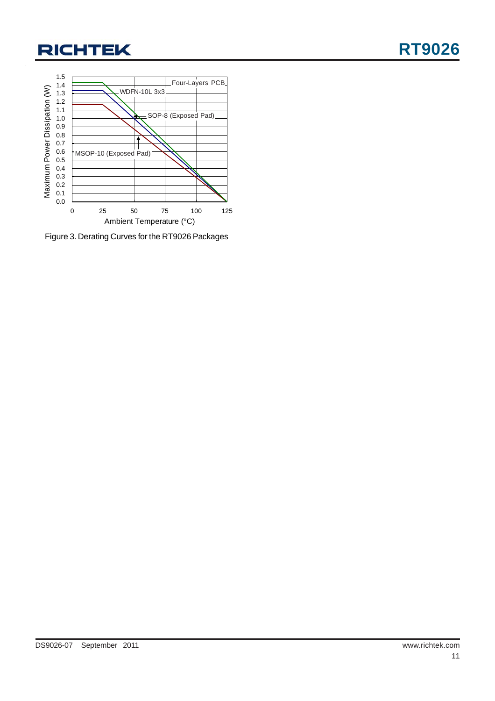

Figure 3. Derating Curves for the RT9026 Packages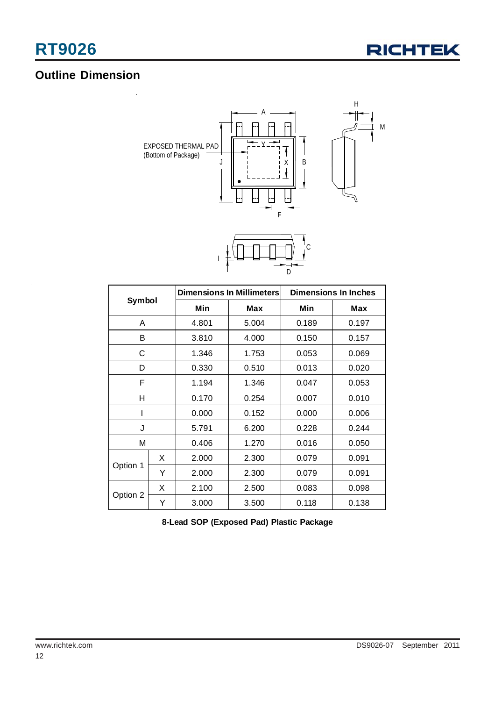

## **Outline Dimension**



| Symbol   |   |       | <b>Dimensions In Millimeters</b> | <b>Dimensions In Inches</b> |       |  |
|----------|---|-------|----------------------------------|-----------------------------|-------|--|
|          |   | Min   | Max                              | Min                         | Max   |  |
| A        |   | 4.801 | 5.004                            | 0.189                       | 0.197 |  |
| B        |   | 3.810 | 4.000                            | 0.150                       | 0.157 |  |
| С        |   | 1.346 | 1.753                            | 0.053                       | 0.069 |  |
| D        |   | 0.330 | 0.510                            | 0.013                       | 0.020 |  |
| F        |   | 1.194 | 1.346                            | 0.047                       | 0.053 |  |
| н        |   | 0.170 | 0.254                            | 0.007                       | 0.010 |  |
| I        |   | 0.000 | 0.152                            | 0.000                       | 0.006 |  |
| J        |   | 5.791 | 6.200                            | 0.228                       | 0.244 |  |
| M        |   | 0.406 | 1.270                            | 0.016                       | 0.050 |  |
|          | X | 2.000 | 2.300                            | 0.079                       | 0.091 |  |
| Option 1 | Υ | 2.000 | 2.300                            | 0.079                       | 0.091 |  |
|          | X | 2.100 | 2.500                            | 0.083                       | 0.098 |  |
| Option 2 | Y | 3.000 | 3.500                            | 0.118                       | 0.138 |  |

**8-Lead SOP (Exposed Pad) Plastic Package**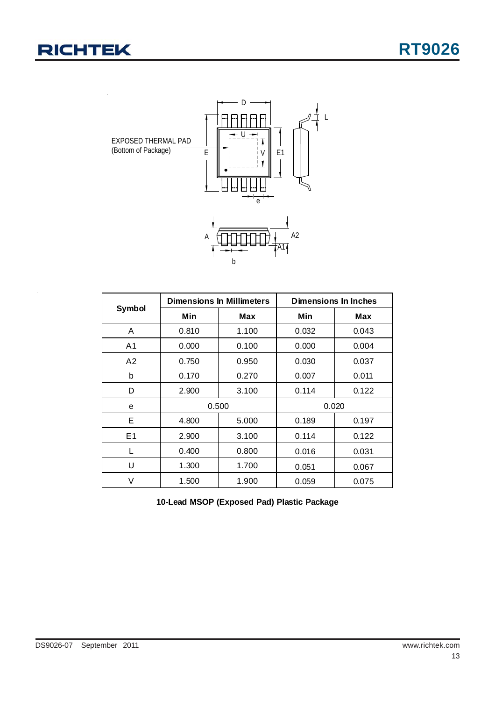

|                |       | <b>Dimensions In Millimeters</b> | Dimensions In Inches |       |  |
|----------------|-------|----------------------------------|----------------------|-------|--|
| Symbol         | Min   | Max                              | Min                  | Max   |  |
| A              | 0.810 | 1.100                            | 0.032                | 0.043 |  |
| A <sub>1</sub> | 0.000 | 0.100                            | 0.000                | 0.004 |  |
| A2             | 0.750 | 0.950                            | 0.030                | 0.037 |  |
| b              | 0.170 | 0.270                            | 0.007                | 0.011 |  |
| D              | 2.900 | 3.100                            | 0.114                | 0.122 |  |
| e              |       | 0.500                            | 0.020                |       |  |
| Е              | 4.800 | 5.000                            | 0.189                | 0.197 |  |
| E <sub>1</sub> | 2.900 | 3.100                            | 0.114                | 0.122 |  |
| L              | 0.400 | 0.800                            | 0.016                | 0.031 |  |
| U              | 1.300 | 1.700                            | 0.051                | 0.067 |  |
| V              | 1.500 | 1.900                            | 0.059                | 0.075 |  |

**10-Lead MSOP (Exposed Pad) Plastic Package**